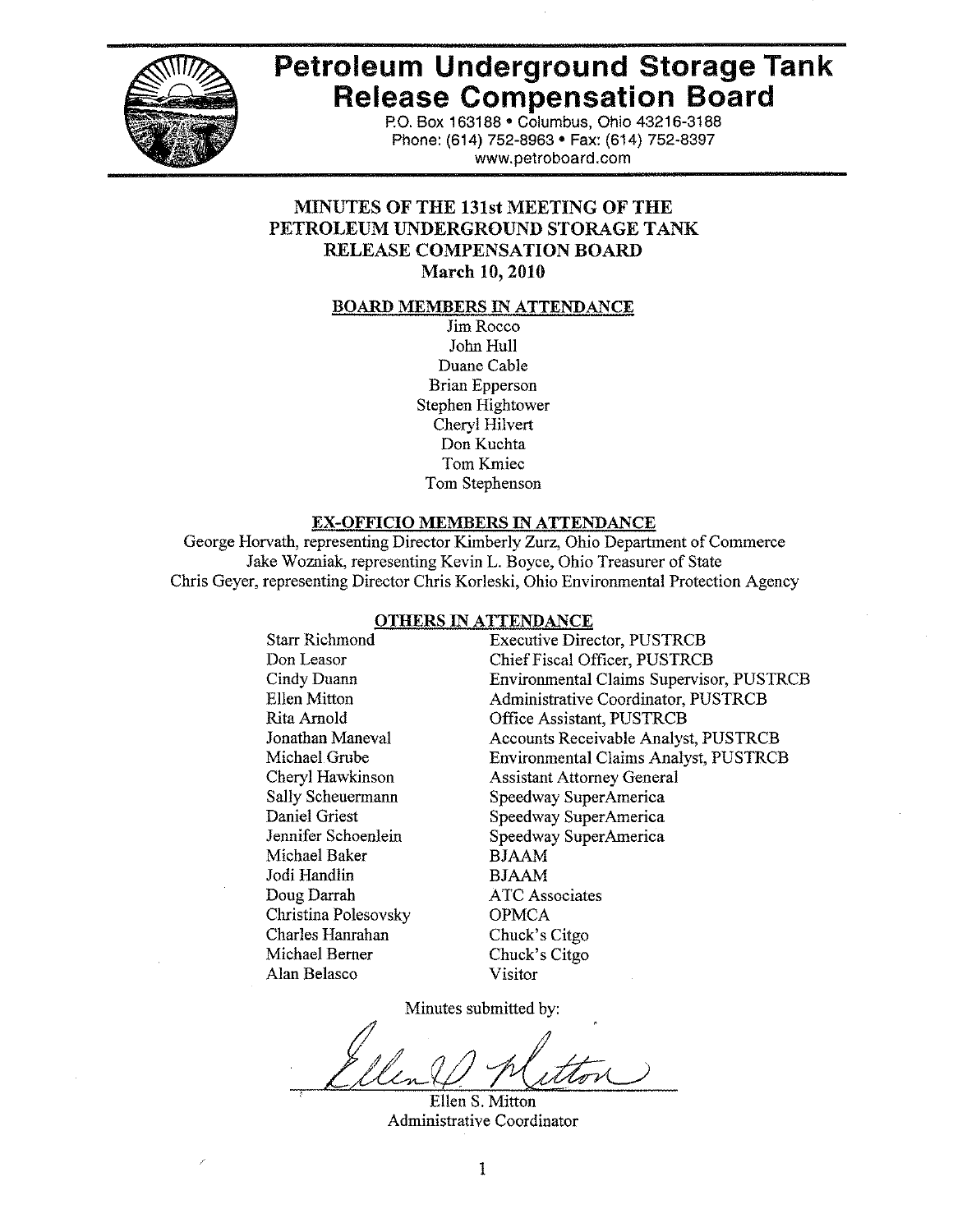

# **Petroleum Underground Storage Tank Release Compensation Board**

P.O. Box 163188 . Columbus, Ohio 43216-3188 Phone: (614) 752-8963 · Fax: (614) 752-8397 www.petroboard.com

# **MINUTES OF THE 131st MEETING OF THE** PETROLEUM UNDERGROUND STORAGE TANK RELEASE COMPENSATION BOARD **March 10, 2010**

#### **BOARD MEMBERS IN ATTENDANCE**

Jim Rocco John Hull Duane Cable **Brian Epperson** Stephen Hightower Cheryl Hilvert Don Kuchta Tom Kmiec Tom Stephenson

#### **EX-OFFICIO MEMBERS IN ATTENDANCE**

George Horvath, representing Director Kimberly Zurz, Ohio Department of Commerce Jake Wozniak, representing Kevin L. Boyce, Ohio Treasurer of State Chris Geyer, representing Director Chris Korleski, Ohio Environmental Protection Agency

#### **OTHERS IN ATTENDANCE**

**Starr Richmond** Don Leasor Cindy Duann Ellen Mitton Rita Arnold Jonathan Maneval Michael Grube Cheryl Hawkinson **Sally Scheuermann** Daniel Griest Jennifer Schoenlein Michael Baker Jodi Handlin Doug Darrah Christina Polesovsky Charles Hanrahan Michael Berner Alan Belasco

**Executive Director, PUSTRCB** Chief Fiscal Officer, PUSTRCB **Environmental Claims Supervisor, PUSTRCB Administrative Coordinator, PUSTRCB** Office Assistant, PUSTRCB **Accounts Receivable Analyst, PUSTRCB Environmental Claims Analyst, PUSTRCB Assistant Attorney General** Speedway SuperAmerica Speedway SuperAmerica Speedway SuperAmerica **BJAAM BJAAM ATC** Associates **OPMCA** Chuck's Citgo Chuck's Citgo Visitor

Minutes submitted by:

Ellen S. Mitton Administrative Coordinator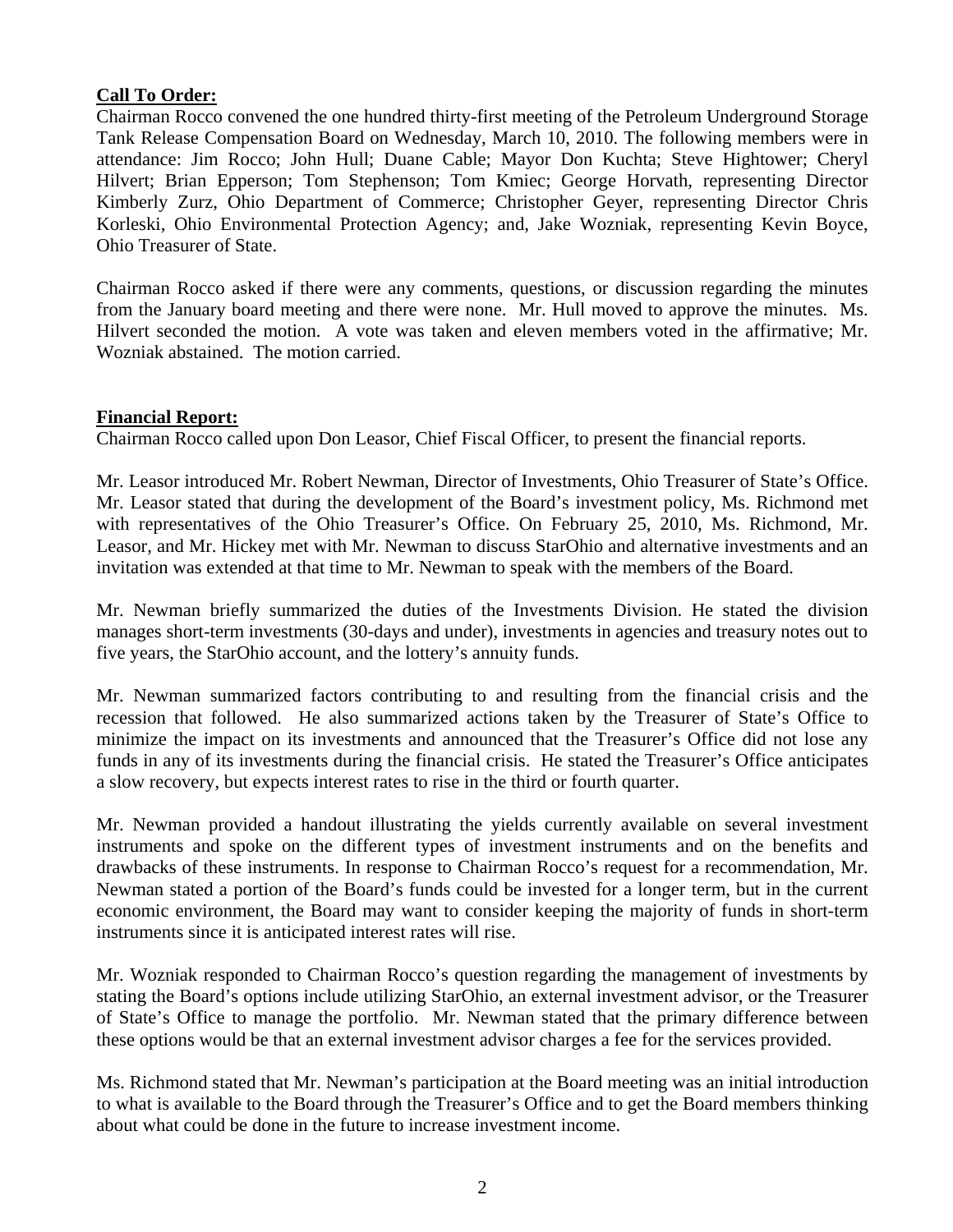# **Call To Order:**

Chairman Rocco convened the one hundred thirty-first meeting of the Petroleum Underground Storage Tank Release Compensation Board on Wednesday, March 10, 2010. The following members were in attendance: Jim Rocco; John Hull; Duane Cable; Mayor Don Kuchta; Steve Hightower; Cheryl Hilvert; Brian Epperson; Tom Stephenson; Tom Kmiec; George Horvath, representing Director Kimberly Zurz, Ohio Department of Commerce; Christopher Geyer, representing Director Chris Korleski, Ohio Environmental Protection Agency; and, Jake Wozniak, representing Kevin Boyce, Ohio Treasurer of State.

Chairman Rocco asked if there were any comments, questions, or discussion regarding the minutes from the January board meeting and there were none. Mr. Hull moved to approve the minutes. Ms. Hilvert seconded the motion. A vote was taken and eleven members voted in the affirmative; Mr. Wozniak abstained. The motion carried.

## **Financial Report:**

Chairman Rocco called upon Don Leasor, Chief Fiscal Officer, to present the financial reports.

Mr. Leasor introduced Mr. Robert Newman, Director of Investments, Ohio Treasurer of State's Office. Mr. Leasor stated that during the development of the Board's investment policy, Ms. Richmond met with representatives of the Ohio Treasurer's Office. On February 25, 2010, Ms. Richmond, Mr. Leasor, and Mr. Hickey met with Mr. Newman to discuss StarOhio and alternative investments and an invitation was extended at that time to Mr. Newman to speak with the members of the Board.

Mr. Newman briefly summarized the duties of the Investments Division. He stated the division manages short-term investments (30-days and under), investments in agencies and treasury notes out to five years, the StarOhio account, and the lottery's annuity funds.

Mr. Newman summarized factors contributing to and resulting from the financial crisis and the recession that followed. He also summarized actions taken by the Treasurer of State's Office to minimize the impact on its investments and announced that the Treasurer's Office did not lose any funds in any of its investments during the financial crisis. He stated the Treasurer's Office anticipates a slow recovery, but expects interest rates to rise in the third or fourth quarter.

Mr. Newman provided a handout illustrating the yields currently available on several investment instruments and spoke on the different types of investment instruments and on the benefits and drawbacks of these instruments. In response to Chairman Rocco's request for a recommendation, Mr. Newman stated a portion of the Board's funds could be invested for a longer term, but in the current economic environment, the Board may want to consider keeping the majority of funds in short-term instruments since it is anticipated interest rates will rise.

Mr. Wozniak responded to Chairman Rocco's question regarding the management of investments by stating the Board's options include utilizing StarOhio, an external investment advisor, or the Treasurer of State's Office to manage the portfolio. Mr. Newman stated that the primary difference between these options would be that an external investment advisor charges a fee for the services provided.

Ms. Richmond stated that Mr. Newman's participation at the Board meeting was an initial introduction to what is available to the Board through the Treasurer's Office and to get the Board members thinking about what could be done in the future to increase investment income.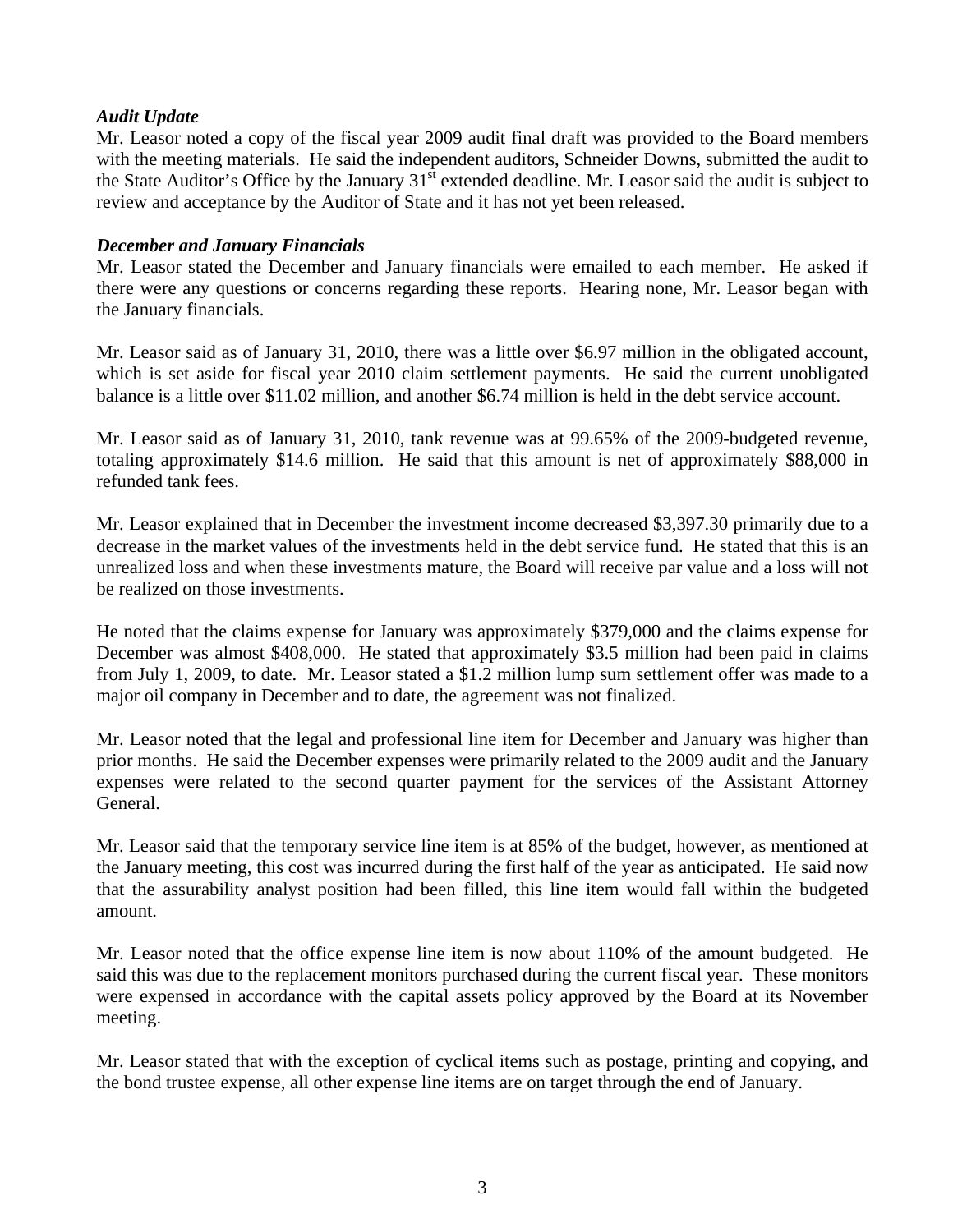# *Audit Update*

Mr. Leasor noted a copy of the fiscal year 2009 audit final draft was provided to the Board members with the meeting materials. He said the independent auditors, Schneider Downs, submitted the audit to the State Auditor's Office by the January  $31<sup>st</sup>$  extended deadline. Mr. Leasor said the audit is subject to review and acceptance by the Auditor of State and it has not yet been released.

## *December and January Financials*

Mr. Leasor stated the December and January financials were emailed to each member. He asked if there were any questions or concerns regarding these reports. Hearing none, Mr. Leasor began with the January financials.

Mr. Leasor said as of January 31, 2010, there was a little over \$6.97 million in the obligated account, which is set aside for fiscal year 2010 claim settlement payments. He said the current unobligated balance is a little over \$11.02 million, and another \$6.74 million is held in the debt service account.

Mr. Leasor said as of January 31, 2010, tank revenue was at 99.65% of the 2009-budgeted revenue, totaling approximately \$14.6 million. He said that this amount is net of approximately \$88,000 in refunded tank fees.

Mr. Leasor explained that in December the investment income decreased \$3,397.30 primarily due to a decrease in the market values of the investments held in the debt service fund. He stated that this is an unrealized loss and when these investments mature, the Board will receive par value and a loss will not be realized on those investments.

He noted that the claims expense for January was approximately \$379,000 and the claims expense for December was almost \$408,000. He stated that approximately \$3.5 million had been paid in claims from July 1, 2009, to date. Mr. Leasor stated a \$1.2 million lump sum settlement offer was made to a major oil company in December and to date, the agreement was not finalized.

Mr. Leasor noted that the legal and professional line item for December and January was higher than prior months. He said the December expenses were primarily related to the 2009 audit and the January expenses were related to the second quarter payment for the services of the Assistant Attorney General.

Mr. Leasor said that the temporary service line item is at 85% of the budget, however, as mentioned at the January meeting, this cost was incurred during the first half of the year as anticipated. He said now that the assurability analyst position had been filled, this line item would fall within the budgeted amount.

Mr. Leasor noted that the office expense line item is now about 110% of the amount budgeted. He said this was due to the replacement monitors purchased during the current fiscal year. These monitors were expensed in accordance with the capital assets policy approved by the Board at its November meeting.

Mr. Leasor stated that with the exception of cyclical items such as postage, printing and copying, and the bond trustee expense, all other expense line items are on target through the end of January.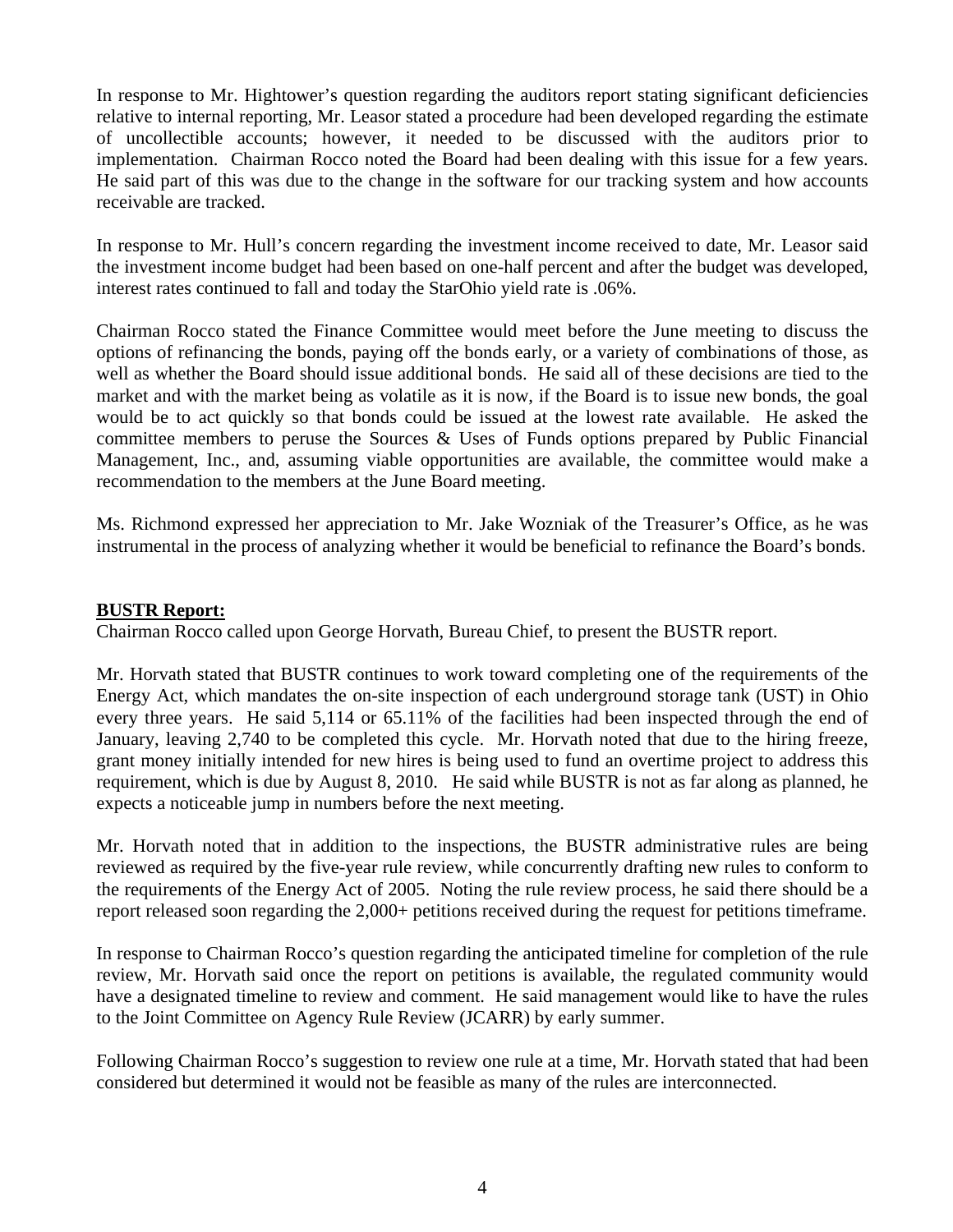In response to Mr. Hightower's question regarding the auditors report stating significant deficiencies relative to internal reporting, Mr. Leasor stated a procedure had been developed regarding the estimate of uncollectible accounts; however, it needed to be discussed with the auditors prior to implementation. Chairman Rocco noted the Board had been dealing with this issue for a few years. He said part of this was due to the change in the software for our tracking system and how accounts receivable are tracked.

In response to Mr. Hull's concern regarding the investment income received to date, Mr. Leasor said the investment income budget had been based on one-half percent and after the budget was developed, interest rates continued to fall and today the StarOhio yield rate is .06%.

Chairman Rocco stated the Finance Committee would meet before the June meeting to discuss the options of refinancing the bonds, paying off the bonds early, or a variety of combinations of those, as well as whether the Board should issue additional bonds. He said all of these decisions are tied to the market and with the market being as volatile as it is now, if the Board is to issue new bonds, the goal would be to act quickly so that bonds could be issued at the lowest rate available. He asked the committee members to peruse the Sources & Uses of Funds options prepared by Public Financial Management, Inc., and, assuming viable opportunities are available, the committee would make a recommendation to the members at the June Board meeting.

Ms. Richmond expressed her appreciation to Mr. Jake Wozniak of the Treasurer's Office, as he was instrumental in the process of analyzing whether it would be beneficial to refinance the Board's bonds.

#### **BUSTR Report:**

Chairman Rocco called upon George Horvath, Bureau Chief, to present the BUSTR report.

Mr. Horvath stated that BUSTR continues to work toward completing one of the requirements of the Energy Act, which mandates the on-site inspection of each underground storage tank (UST) in Ohio every three years. He said 5,114 or 65.11% of the facilities had been inspected through the end of January, leaving 2,740 to be completed this cycle. Mr. Horvath noted that due to the hiring freeze, grant money initially intended for new hires is being used to fund an overtime project to address this requirement, which is due by August 8, 2010. He said while BUSTR is not as far along as planned, he expects a noticeable jump in numbers before the next meeting.

Mr. Horvath noted that in addition to the inspections, the BUSTR administrative rules are being reviewed as required by the five-year rule review, while concurrently drafting new rules to conform to the requirements of the Energy Act of 2005. Noting the rule review process, he said there should be a report released soon regarding the 2,000+ petitions received during the request for petitions timeframe.

In response to Chairman Rocco's question regarding the anticipated timeline for completion of the rule review, Mr. Horvath said once the report on petitions is available, the regulated community would have a designated timeline to review and comment. He said management would like to have the rules to the Joint Committee on Agency Rule Review (JCARR) by early summer.

Following Chairman Rocco's suggestion to review one rule at a time, Mr. Horvath stated that had been considered but determined it would not be feasible as many of the rules are interconnected.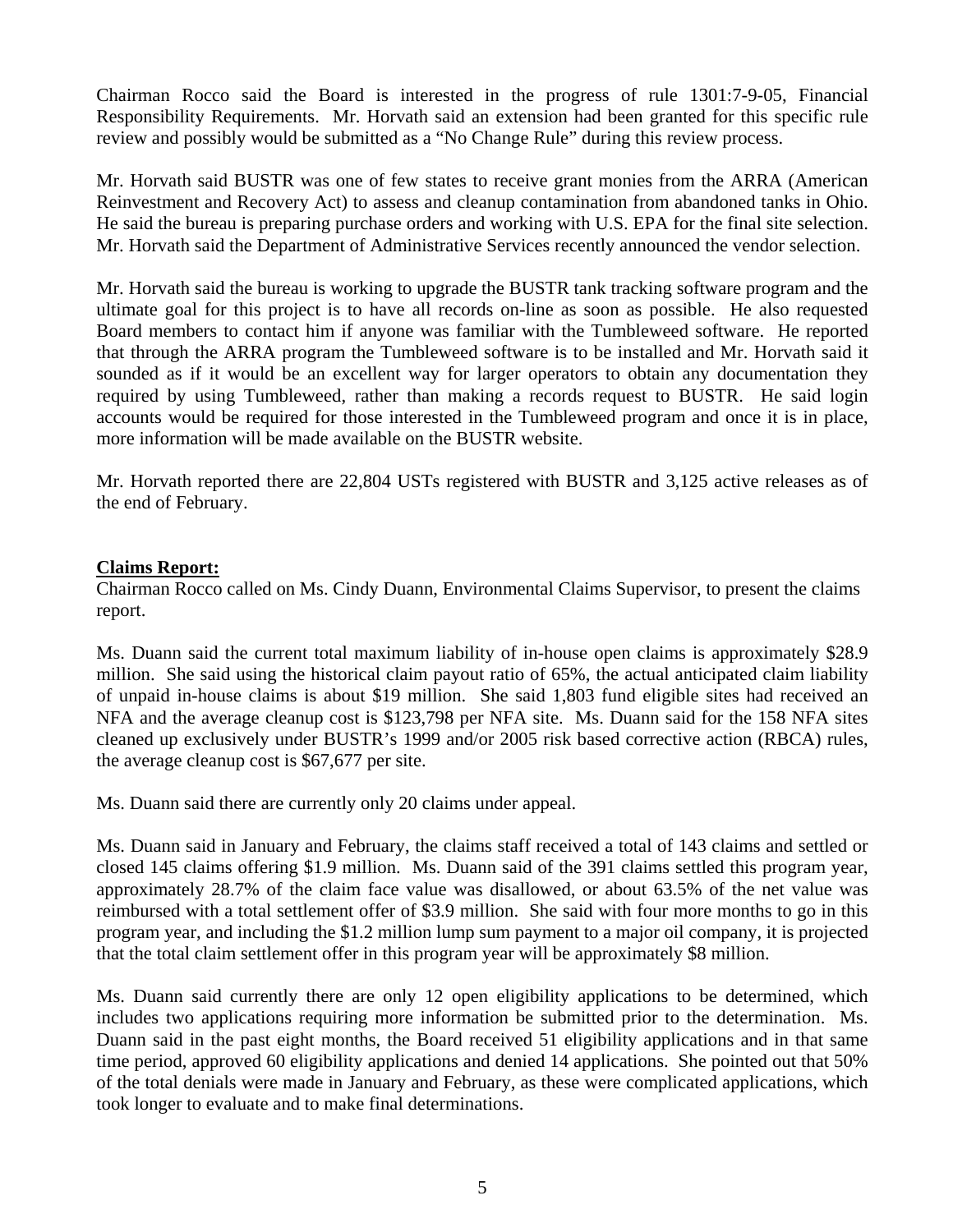Chairman Rocco said the Board is interested in the progress of rule 1301:7-9-05, Financial Responsibility Requirements. Mr. Horvath said an extension had been granted for this specific rule review and possibly would be submitted as a "No Change Rule" during this review process.

Mr. Horvath said BUSTR was one of few states to receive grant monies from the ARRA (American Reinvestment and Recovery Act) to assess and cleanup contamination from abandoned tanks in Ohio. He said the bureau is preparing purchase orders and working with U.S. EPA for the final site selection. Mr. Horvath said the Department of Administrative Services recently announced the vendor selection.

Mr. Horvath said the bureau is working to upgrade the BUSTR tank tracking software program and the ultimate goal for this project is to have all records on-line as soon as possible. He also requested Board members to contact him if anyone was familiar with the Tumbleweed software. He reported that through the ARRA program the Tumbleweed software is to be installed and Mr. Horvath said it sounded as if it would be an excellent way for larger operators to obtain any documentation they required by using Tumbleweed, rather than making a records request to BUSTR. He said login accounts would be required for those interested in the Tumbleweed program and once it is in place, more information will be made available on the BUSTR website.

Mr. Horvath reported there are 22,804 USTs registered with BUSTR and 3,125 active releases as of the end of February.

## **Claims Report:**

Chairman Rocco called on Ms. Cindy Duann, Environmental Claims Supervisor, to present the claims report.

Ms. Duann said the current total maximum liability of in-house open claims is approximately \$28.9 million. She said using the historical claim payout ratio of 65%, the actual anticipated claim liability of unpaid in-house claims is about \$19 million. She said 1,803 fund eligible sites had received an NFA and the average cleanup cost is \$123,798 per NFA site. Ms. Duann said for the 158 NFA sites cleaned up exclusively under BUSTR's 1999 and/or 2005 risk based corrective action (RBCA) rules, the average cleanup cost is \$67,677 per site.

Ms. Duann said there are currently only 20 claims under appeal.

Ms. Duann said in January and February, the claims staff received a total of 143 claims and settled or closed 145 claims offering \$1.9 million. Ms. Duann said of the 391 claims settled this program year, approximately 28.7% of the claim face value was disallowed, or about 63.5% of the net value was reimbursed with a total settlement offer of \$3.9 million. She said with four more months to go in this program year, and including the \$1.2 million lump sum payment to a major oil company, it is projected that the total claim settlement offer in this program year will be approximately \$8 million.

Ms. Duann said currently there are only 12 open eligibility applications to be determined, which includes two applications requiring more information be submitted prior to the determination. Ms. Duann said in the past eight months, the Board received 51 eligibility applications and in that same time period, approved 60 eligibility applications and denied 14 applications. She pointed out that 50% of the total denials were made in January and February, as these were complicated applications, which took longer to evaluate and to make final determinations.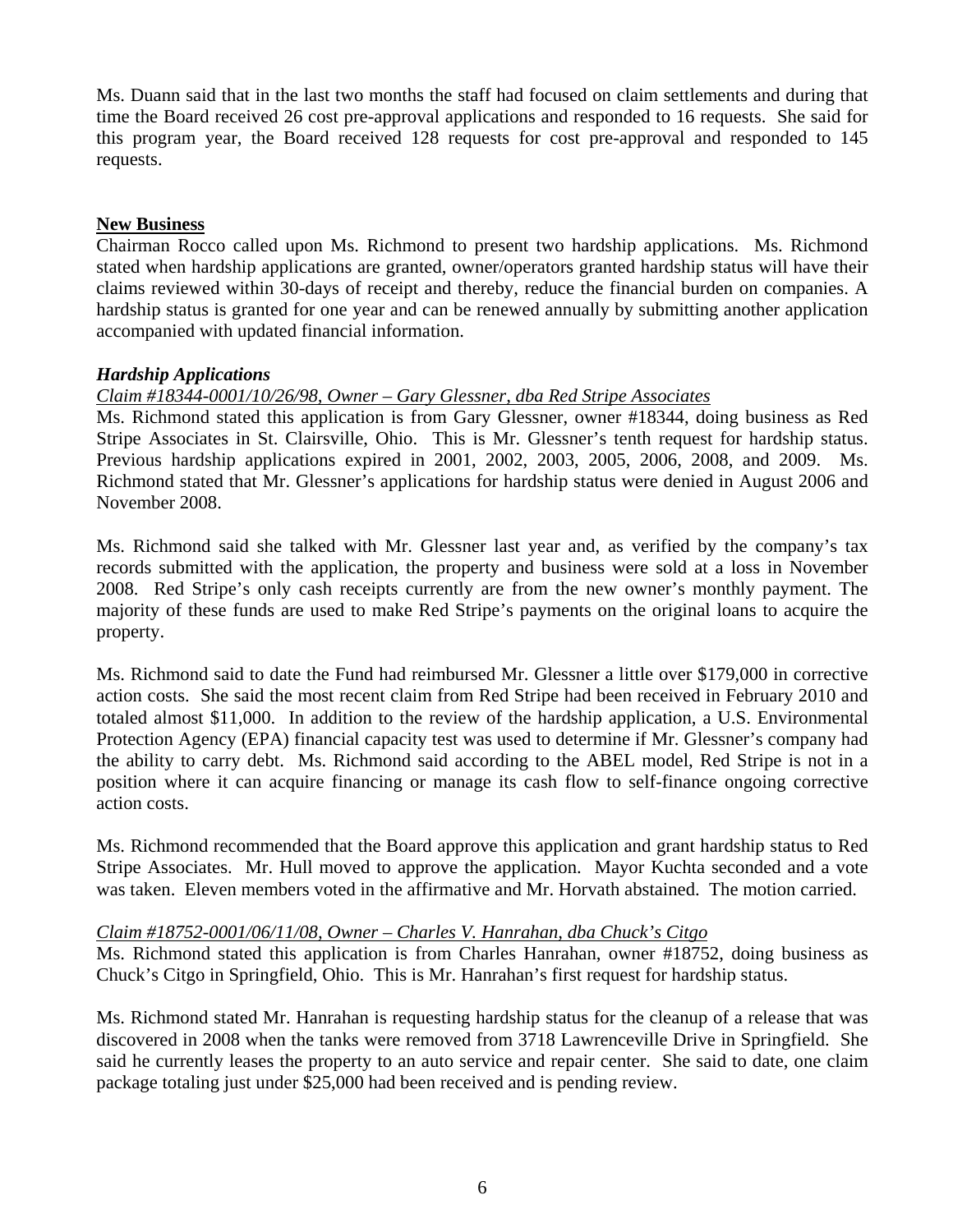Ms. Duann said that in the last two months the staff had focused on claim settlements and during that time the Board received 26 cost pre-approval applications and responded to 16 requests. She said for this program year, the Board received 128 requests for cost pre-approval and responded to 145 requests.

## **New Business**

Chairman Rocco called upon Ms. Richmond to present two hardship applications. Ms. Richmond stated when hardship applications are granted, owner/operators granted hardship status will have their claims reviewed within 30-days of receipt and thereby, reduce the financial burden on companies. A hardship status is granted for one year and can be renewed annually by submitting another application accompanied with updated financial information.

# *Hardship Applications*

# *Claim #18344-0001/10/26/98, Owner – Gary Glessner, dba Red Stripe Associates*

Ms. Richmond stated this application is from Gary Glessner, owner #18344, doing business as Red Stripe Associates in St. Clairsville, Ohio. This is Mr. Glessner's tenth request for hardship status. Previous hardship applications expired in 2001, 2002, 2003, 2005, 2006, 2008, and 2009. Ms. Richmond stated that Mr. Glessner's applications for hardship status were denied in August 2006 and November 2008.

Ms. Richmond said she talked with Mr. Glessner last year and, as verified by the company's tax records submitted with the application, the property and business were sold at a loss in November 2008. Red Stripe's only cash receipts currently are from the new owner's monthly payment. The majority of these funds are used to make Red Stripe's payments on the original loans to acquire the property.

Ms. Richmond said to date the Fund had reimbursed Mr. Glessner a little over \$179,000 in corrective action costs. She said the most recent claim from Red Stripe had been received in February 2010 and totaled almost \$11,000. In addition to the review of the hardship application, a U.S. Environmental Protection Agency (EPA) financial capacity test was used to determine if Mr. Glessner's company had the ability to carry debt. Ms. Richmond said according to the ABEL model, Red Stripe is not in a position where it can acquire financing or manage its cash flow to self-finance ongoing corrective action costs.

Ms. Richmond recommended that the Board approve this application and grant hardship status to Red Stripe Associates. Mr. Hull moved to approve the application. Mayor Kuchta seconded and a vote was taken. Eleven members voted in the affirmative and Mr. Horvath abstained. The motion carried.

## *Claim #18752-0001/06/11/08, Owner – Charles V. Hanrahan, dba Chuck's Citgo*

Ms. Richmond stated this application is from Charles Hanrahan, owner #18752, doing business as Chuck's Citgo in Springfield, Ohio. This is Mr. Hanrahan's first request for hardship status.

Ms. Richmond stated Mr. Hanrahan is requesting hardship status for the cleanup of a release that was discovered in 2008 when the tanks were removed from 3718 Lawrenceville Drive in Springfield. She said he currently leases the property to an auto service and repair center. She said to date, one claim package totaling just under \$25,000 had been received and is pending review.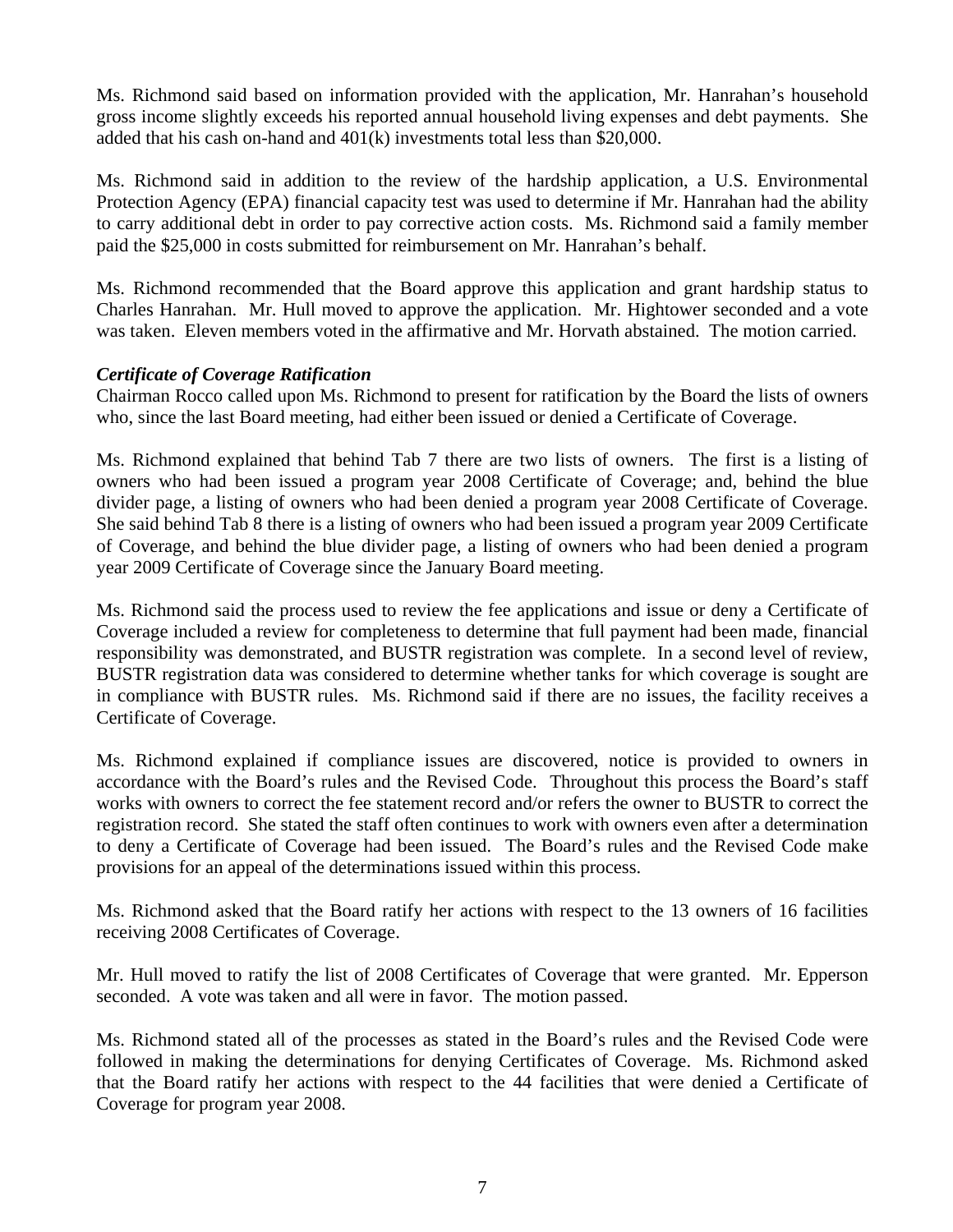Ms. Richmond said based on information provided with the application, Mr. Hanrahan's household gross income slightly exceeds his reported annual household living expenses and debt payments. She added that his cash on-hand and 401(k) investments total less than \$20,000.

Ms. Richmond said in addition to the review of the hardship application, a U.S. Environmental Protection Agency (EPA) financial capacity test was used to determine if Mr. Hanrahan had the ability to carry additional debt in order to pay corrective action costs. Ms. Richmond said a family member paid the \$25,000 in costs submitted for reimbursement on Mr. Hanrahan's behalf.

Ms. Richmond recommended that the Board approve this application and grant hardship status to Charles Hanrahan. Mr. Hull moved to approve the application. Mr. Hightower seconded and a vote was taken. Eleven members voted in the affirmative and Mr. Horvath abstained. The motion carried.

# *Certificate of Coverage Ratification*

Chairman Rocco called upon Ms. Richmond to present for ratification by the Board the lists of owners who, since the last Board meeting, had either been issued or denied a Certificate of Coverage.

Ms. Richmond explained that behind Tab 7 there are two lists of owners. The first is a listing of owners who had been issued a program year 2008 Certificate of Coverage; and, behind the blue divider page, a listing of owners who had been denied a program year 2008 Certificate of Coverage. She said behind Tab 8 there is a listing of owners who had been issued a program year 2009 Certificate of Coverage, and behind the blue divider page, a listing of owners who had been denied a program year 2009 Certificate of Coverage since the January Board meeting.

Ms. Richmond said the process used to review the fee applications and issue or deny a Certificate of Coverage included a review for completeness to determine that full payment had been made, financial responsibility was demonstrated, and BUSTR registration was complete. In a second level of review, BUSTR registration data was considered to determine whether tanks for which coverage is sought are in compliance with BUSTR rules. Ms. Richmond said if there are no issues, the facility receives a Certificate of Coverage.

Ms. Richmond explained if compliance issues are discovered, notice is provided to owners in accordance with the Board's rules and the Revised Code. Throughout this process the Board's staff works with owners to correct the fee statement record and/or refers the owner to BUSTR to correct the registration record. She stated the staff often continues to work with owners even after a determination to deny a Certificate of Coverage had been issued. The Board's rules and the Revised Code make provisions for an appeal of the determinations issued within this process.

Ms. Richmond asked that the Board ratify her actions with respect to the 13 owners of 16 facilities receiving 2008 Certificates of Coverage.

Mr. Hull moved to ratify the list of 2008 Certificates of Coverage that were granted. Mr. Epperson seconded. A vote was taken and all were in favor. The motion passed.

Ms. Richmond stated all of the processes as stated in the Board's rules and the Revised Code were followed in making the determinations for denying Certificates of Coverage. Ms. Richmond asked that the Board ratify her actions with respect to the 44 facilities that were denied a Certificate of Coverage for program year 2008.